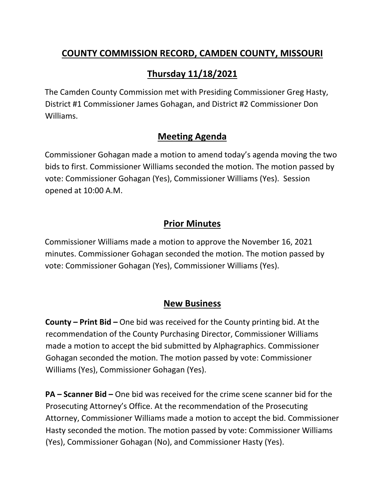## **COUNTY COMMISSION RECORD, CAMDEN COUNTY, MISSOURI**

# **Thursday 11/18/2021**

The Camden County Commission met with Presiding Commissioner Greg Hasty, District #1 Commissioner James Gohagan, and District #2 Commissioner Don Williams.

### **Meeting Agenda**

Commissioner Gohagan made a motion to amend today's agenda moving the two bids to first. Commissioner Williams seconded the motion. The motion passed by vote: Commissioner Gohagan (Yes), Commissioner Williams (Yes). Session opened at 10:00 A.M.

## **Prior Minutes**

Commissioner Williams made a motion to approve the November 16, 2021 minutes. Commissioner Gohagan seconded the motion. The motion passed by vote: Commissioner Gohagan (Yes), Commissioner Williams (Yes).

#### **New Business**

**County – Print Bid –** One bid was received for the County printing bid. At the recommendation of the County Purchasing Director, Commissioner Williams made a motion to accept the bid submitted by Alphagraphics. Commissioner Gohagan seconded the motion. The motion passed by vote: Commissioner Williams (Yes), Commissioner Gohagan (Yes).

**PA – Scanner Bid –** One bid was received for the crime scene scanner bid for the Prosecuting Attorney's Office. At the recommendation of the Prosecuting Attorney, Commissioner Williams made a motion to accept the bid. Commissioner Hasty seconded the motion. The motion passed by vote: Commissioner Williams (Yes), Commissioner Gohagan (No), and Commissioner Hasty (Yes).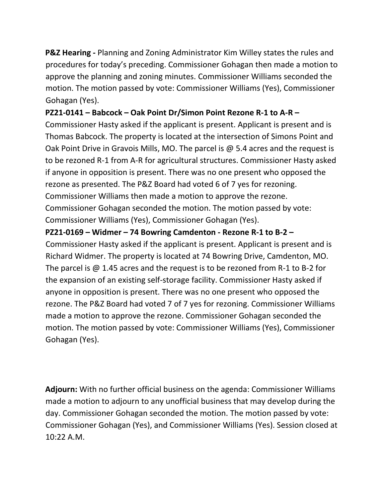**P&Z Hearing -** Planning and Zoning Administrator Kim Willey states the rules and procedures for today's preceding. Commissioner Gohagan then made a motion to approve the planning and zoning minutes. Commissioner Williams seconded the motion. The motion passed by vote: Commissioner Williams (Yes), Commissioner Gohagan (Yes).

#### **PZ21-0141 – Babcock – Oak Point Dr/Simon Point Rezone R-1 to A-R –**

Commissioner Hasty asked if the applicant is present. Applicant is present and is Thomas Babcock. The property is located at the intersection of Simons Point and Oak Point Drive in Gravois Mills, MO. The parcel is @ 5.4 acres and the request is to be rezoned R-1 from A-R for agricultural structures. Commissioner Hasty asked if anyone in opposition is present. There was no one present who opposed the rezone as presented. The P&Z Board had voted 6 of 7 yes for rezoning. Commissioner Williams then made a motion to approve the rezone. Commissioner Gohagan seconded the motion. The motion passed by vote: Commissioner Williams (Yes), Commissioner Gohagan (Yes).

#### **PZ21-0169 – Widmer – 74 Bowring Camdenton - Rezone R-1 to B-2 –**

Commissioner Hasty asked if the applicant is present. Applicant is present and is Richard Widmer. The property is located at 74 Bowring Drive, Camdenton, MO. The parcel is @ 1.45 acres and the request is to be rezoned from R-1 to B-2 for the expansion of an existing self-storage facility. Commissioner Hasty asked if anyone in opposition is present. There was no one present who opposed the rezone. The P&Z Board had voted 7 of 7 yes for rezoning. Commissioner Williams made a motion to approve the rezone. Commissioner Gohagan seconded the motion. The motion passed by vote: Commissioner Williams (Yes), Commissioner Gohagan (Yes).

**Adjourn:** With no further official business on the agenda: Commissioner Williams made a motion to adjourn to any unofficial business that may develop during the day. Commissioner Gohagan seconded the motion. The motion passed by vote: Commissioner Gohagan (Yes), and Commissioner Williams (Yes). Session closed at 10:22 A.M.